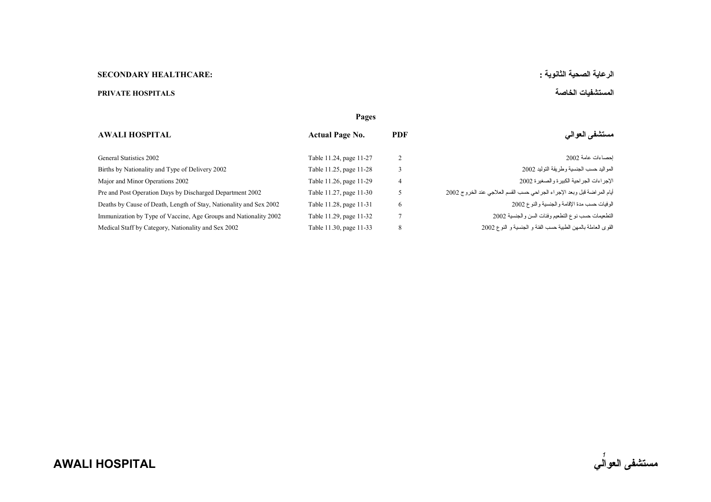## **الرعاية الصحية الثانوية : :HEALTHCARE SECONDARY**

## **المستشفيات الخاصة HOSPITALS PRIVATE**

|                                                                    | Pages                   |                |                                                                         |
|--------------------------------------------------------------------|-------------------------|----------------|-------------------------------------------------------------------------|
| <b>AWALI HOSPITAL</b>                                              | <b>Actual Page No.</b>  | <b>PDF</b>     | مستشفى العوالى                                                          |
| General Statistics 2002                                            | Table 11.24, page 11-27 | 2              | احصاءات عامة 2002                                                       |
| Births by Nationality and Type of Delivery 2002                    | Table 11.25, page 11-28 | 3              | المو اليد حسب الجنسية وطر يقة التو ليد 2002                             |
| Major and Minor Operations 2002                                    | Table 11.26, page 11-29 | $\overline{4}$ | الإجراءات الجراحية الكبيرة والصغيرة 2002                                |
| Pre and Post Operation Days by Discharged Department 2002          | Table 11.27, page 11-30 | 5              | أيام المراضة قبل وبعد الإجراء الجراحي حسب القسم العلاجي عند الخروج 2002 |
| Deaths by Cause of Death, Length of Stay, Nationality and Sex 2002 | Table 11.28, page 11-31 | 6              | الوفيات حسب مدة الإقامة والجنسية والنوع 2002                            |
| Immunization by Type of Vaccine, Age Groups and Nationality 2002   | Table 11.29, page 11-32 |                | التطعيمات حسب نوع التطعيم وفئات السن والجنسية 2002                      |
| Medical Staff by Category, Nationality and Sex 2002                | Table 11.30, page 11-33 | 8              | القوى العاملة بالمهن الطبية حسب الفئة و الجنسية و النوع 2002            |
|                                                                    |                         |                |                                                                         |

**AWALI HOSPITAL** 

*1*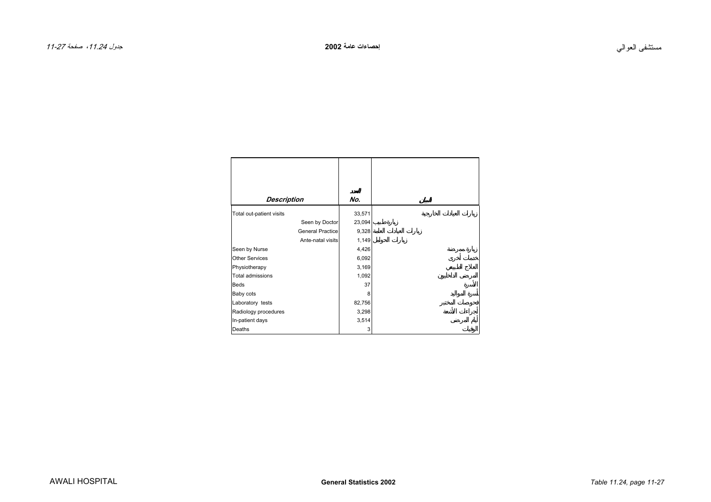<span id="page-1-0"></span>

| <b>Description</b>       | No.    |
|--------------------------|--------|
| Total out-patient visits | 33,571 |
| Seen by Doctor           | 23,094 |
| <b>General Practice</b>  | 9,328  |
| Ante-natal visits        | 1,149  |
| Seen by Nurse            | 4,426  |
| <b>Other Services</b>    | 6,092  |
| Physiotherapy            | 3,169  |
| Total admissions         | 1,092  |
| <b>Beds</b>              | 37     |
| Baby cots                | 8      |
| Laboratory tests         | 82,756 |
| Radiology procedures     | 3,298  |
| In-patient days          | 3,514  |
| Deaths                   | 3      |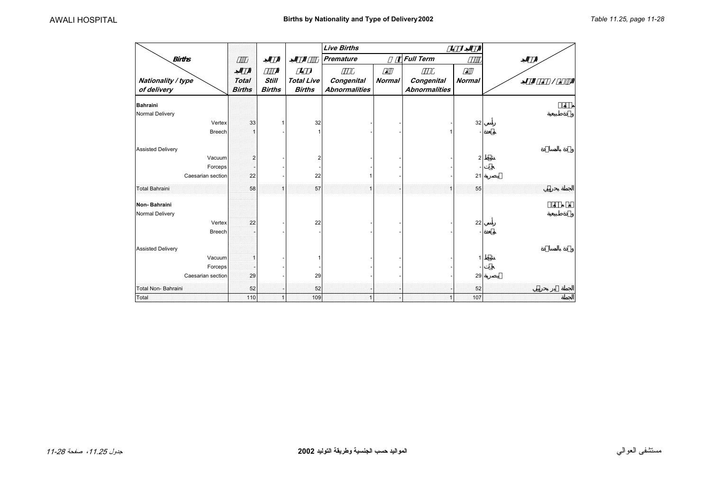|                                   |                               |                               |                                    | <b>Live Births</b>                 |               |                                    |                |  |
|-----------------------------------|-------------------------------|-------------------------------|------------------------------------|------------------------------------|---------------|------------------------------------|----------------|--|
| <b>Births</b>                     |                               |                               |                                    | Premature                          |               | <b>Full Term</b>                   | $\varnothing$  |  |
| Nationality / type<br>of delivery | <b>Total</b><br><b>Births</b> | <b>Still</b><br><b>Births</b> | <b>Total Live</b><br><b>Births</b> | Congenital<br><b>Abnormalities</b> | <b>Normal</b> | Congenital<br><b>Abnormalities</b> | <b>Normal</b>  |  |
| <b>Bahraini</b>                   |                               |                               |                                    |                                    |               |                                    |                |  |
| Normal Delivery                   |                               |                               |                                    |                                    |               |                                    |                |  |
| Vertex                            | 33                            |                               | 32                                 |                                    |               |                                    | 32             |  |
| Breech                            |                               |                               |                                    |                                    |               |                                    |                |  |
| <b>Assisted Delivery</b>          |                               |                               |                                    |                                    |               |                                    |                |  |
| Vacuum                            | 2                             |                               |                                    |                                    |               |                                    | $\overline{2}$ |  |
| Forceps                           |                               |                               |                                    |                                    |               |                                    |                |  |
| Caesarian section                 | 22                            |                               | 22                                 |                                    |               |                                    | 21             |  |
| Total Bahraini                    | 58                            | -1                            | 57                                 |                                    |               |                                    | 55             |  |
| Non-Bahraini                      |                               |                               |                                    |                                    |               |                                    |                |  |
| Normal Delivery                   |                               |                               |                                    |                                    |               |                                    |                |  |
| Vertex                            | 22                            |                               | 22                                 |                                    |               |                                    | 22             |  |
| Breech                            |                               |                               |                                    |                                    |               |                                    |                |  |
| <b>Assisted Delivery</b>          |                               |                               |                                    |                                    |               |                                    |                |  |
| Vacuum                            |                               |                               |                                    |                                    |               |                                    |                |  |
| Forceps                           |                               |                               |                                    |                                    |               |                                    |                |  |
| Caesarian section                 | 29                            |                               | 29                                 |                                    |               |                                    | 29             |  |
| Total Non-Bahraini                | 52                            |                               | 52                                 |                                    |               |                                    | 52             |  |
| Total                             | 110                           |                               | 109                                |                                    |               |                                    | 107            |  |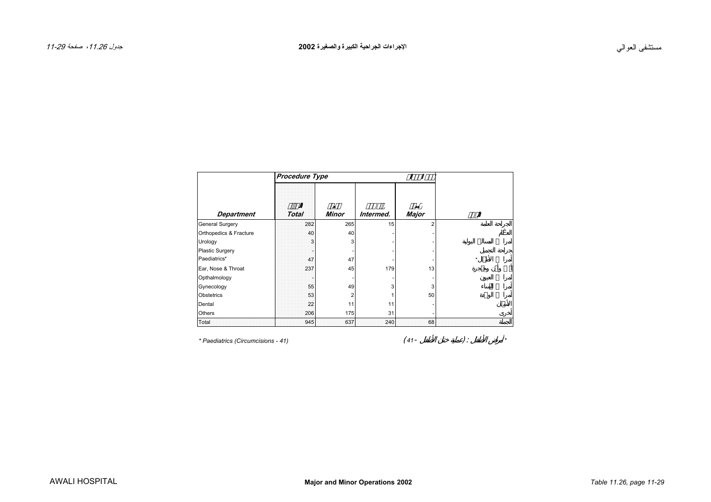<span id="page-3-0"></span>

|                        | Procedure Type |              |           |                |         |
|------------------------|----------------|--------------|-----------|----------------|---------|
| <b>Department</b>      | <b>Total</b>   | <b>Minor</b> | Intermed. | <b>Major</b>   |         |
| General Surgery        | 282            | 265          | 15        | $\overline{2}$ |         |
| Orthopedics & Fracture | 40             | 40           |           |                |         |
| Urology                | 3              | 3            |           |                |         |
| <b>Plastic Surgery</b> |                |              |           |                |         |
| Paediatrics*           | 47             | 47           |           |                | $\star$ |
| Ear, Nose & Throat     | 237            | 45           | 179       | 13             |         |
| Opthalmology           |                |              |           |                |         |
| Gynecology             | 55             | 49           | 3         | 3              |         |
| Obstetrics             | 53             | 2            |           | 50             |         |
| Dental                 | 22             | 11           | 11        |                |         |
| Others                 | 206            | 175          | 31        |                |         |
| Total                  | 945            | 637          | 240       | 68             |         |

*\* Paediatrics (Circumcisions - 41)* ( *<sup>41</sup>*- ) : *\**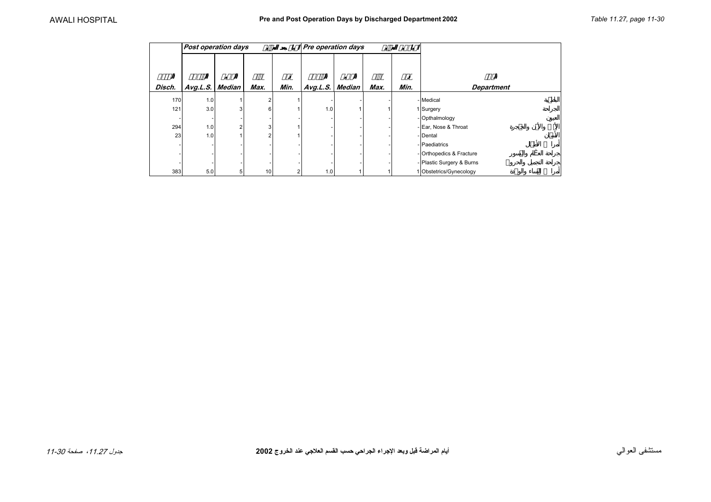<span id="page-4-0"></span>

| <b>Post operation days</b> |          |                |                 |      |          | Pre operation days |      | ø    |                           |
|----------------------------|----------|----------------|-----------------|------|----------|--------------------|------|------|---------------------------|
| Disch.                     | Avg.L.S. | <b>Median</b>  | Max.            | Min. | Avg.L.S. | Median             | Max. | Min. | <b>Department</b>         |
| 170                        | 1.0      |                | 2               |      |          |                    |      |      | - Medical                 |
| 121                        | 3.0      | 3              | 6               |      | 1.0      |                    |      |      | 1 Surgery                 |
|                            |          |                |                 |      |          |                    |      |      | - Opthalmology            |
| 294                        | 1.0      | $\overline{c}$ | 3               |      |          |                    |      |      | - Ear, Nose & Throat      |
| 23                         | 1.0      |                | 2               |      |          |                    |      |      | - Dental                  |
|                            |          |                |                 |      |          |                    |      |      | - Paediatrics             |
|                            |          |                |                 |      |          |                    |      |      | - Orthopedics & Fracture  |
|                            |          |                |                 |      |          |                    |      |      | - Plastic Surgery & Burns |
| 383                        | 5.0      | 5              | 10 <sup>1</sup> | 2    | 1.0      |                    |      |      | 1 Obstetrics/Gynecology   |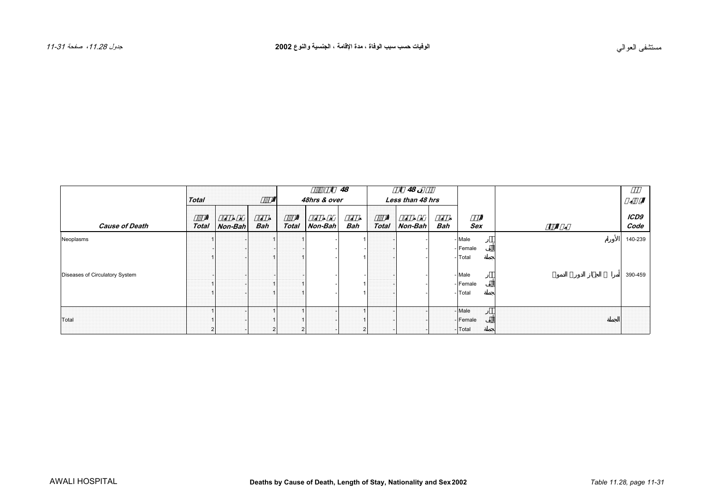<span id="page-5-0"></span>

|                                |              |           |     |              |                | 48             |              | 48<br>ø          |     |          |              |
|--------------------------------|--------------|-----------|-----|--------------|----------------|----------------|--------------|------------------|-----|----------|--------------|
|                                | <b>Total</b> |           |     |              | 48hrs & over   |                |              | Less than 48 hrs |     |          |              |
| <b>Cause of Death</b>          | <b>Total</b> | $Non-Bah$ | Bah | <b>Total</b> | <b>Non-Bah</b> | Bah            | <b>Total</b> | $N$ on-Bah       | Bah | Sex      | ICD9<br>Code |
| Neoplasms                      |              |           |     |              |                |                |              |                  |     | - Male   | 140-239      |
|                                |              |           |     |              |                |                |              |                  |     | - Female |              |
|                                |              |           |     |              |                |                |              |                  |     | - Total  |              |
|                                |              |           |     |              |                |                |              |                  |     |          |              |
| Diseases of Circulatory System |              |           |     |              |                |                |              |                  |     | - Male   | 390-459      |
|                                |              |           |     |              |                |                |              |                  |     | - Female |              |
|                                |              |           |     |              |                |                |              |                  |     | - Total  |              |
|                                |              |           |     |              |                |                |              |                  |     |          |              |
|                                |              |           |     |              |                |                |              |                  |     | - Male   |              |
| Total                          |              |           |     |              |                |                |              |                  |     | - Female |              |
|                                |              |           |     |              |                | $\overline{2}$ |              |                  |     | -Total   |              |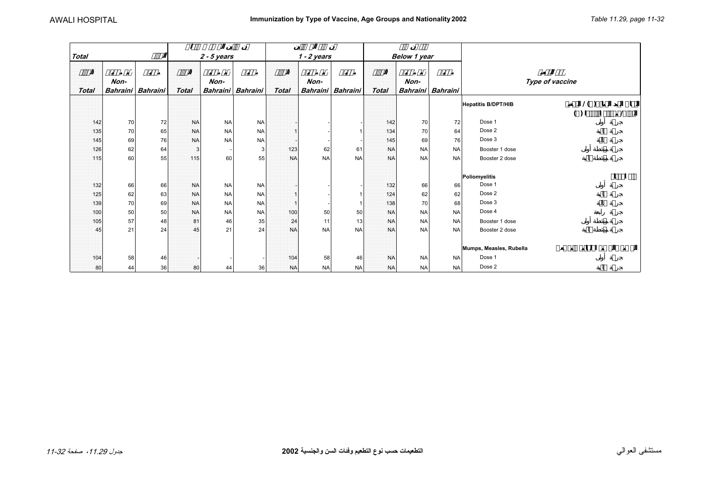<span id="page-6-0"></span>

|              |                         |          |              |                  |                 |              |           |                         |           |              | ø                       |                 |                            |                                                 |   |   |
|--------------|-------------------------|----------|--------------|------------------|-----------------|--------------|-----------|-------------------------|-----------|--------------|-------------------------|-----------------|----------------------------|-------------------------------------------------|---|---|
| <b>Total</b> |                         |          |              | $2 - 5$ years    |                 |              |           | $1 - 2$ years           |           |              | Below 1 year            |                 |                            |                                                 |   |   |
| <b>Total</b> | Non-<br><b>Bahraini</b> | Bahraini | <b>Total</b> | Non-<br>Bahraini | <b>Bahraini</b> | <b>Total</b> |           | Non-<br><b>Bahraini</b> | Bahraini  | <b>Total</b> | Non-<br><b>Bahraini</b> | <b>Bahraini</b> | Type of vaccine            |                                                 |   |   |
|              |                         |          |              |                  |                 |              |           |                         |           |              |                         |                 | <b>Hepatitis B/DPT/HIB</b> | 1()                                             |   |   |
|              |                         |          |              |                  |                 |              |           |                         |           |              |                         |                 |                            | $\left( \begin{array}{c} 1 \end{array} \right)$ |   |   |
| 142          | 70                      | 72       | <b>NA</b>    | <b>NA</b>        | <b>NA</b>       |              |           |                         |           | 142          | 70                      | 72              | Dose 1                     |                                                 |   |   |
| 135          | 70                      | 65       | <b>NA</b>    | <b>NA</b>        | <b>NA</b>       |              |           |                         |           | 134          | 70                      | 64              | Dose 2                     |                                                 |   |   |
| 145          | 69                      | 76       | <b>NA</b>    | <b>NA</b>        | <b>NA</b>       |              |           |                         |           | 145          | 69                      | 76              | Dose 3                     |                                                 |   |   |
| 126          | 62                      | 64       | -3           |                  | 3               |              | 123       | 62                      | 61        | <b>NA</b>    | <b>NA</b>               | <b>NA</b>       | Booster 1 dose             |                                                 |   |   |
| 115          | 60                      | 55       | 115          | 60               | 55              |              | <b>NA</b> | <b>NA</b>               | <b>NA</b> | <b>NA</b>    | <b>NA</b>               | <b>NA</b>       | Booster 2 dose             |                                                 |   |   |
|              |                         |          |              |                  |                 |              |           |                         |           |              |                         |                 |                            |                                                 | Ø | Ø |
| 132          | 66                      | 66       | <b>NA</b>    | <b>NA</b>        | <b>NA</b>       |              |           |                         |           | 132          |                         | 66              | Poliomyelitis<br>Dose 1    |                                                 |   |   |
| 125          | 62                      | 63       | <b>NA</b>    | <b>NA</b>        | <b>NA</b>       |              |           |                         |           | 124          | 66<br>62                | 62              | Dose 2                     |                                                 |   |   |
| 139          | 70                      | 69       | <b>NA</b>    | <b>NA</b>        | <b>NA</b>       |              |           |                         |           | 138          | 70                      | 68              | Dose 3                     |                                                 |   |   |
| 100          | 50                      | 50       | <b>NA</b>    | <b>NA</b>        | <b>NA</b>       |              | 100       | 50                      | 50        | <b>NA</b>    | <b>NA</b>               | <b>NA</b>       | Dose 4                     |                                                 |   |   |
| 105          | 57                      | 48       | 81           | 46               | 35              |              | 24        | 11                      | 13        | <b>NA</b>    | <b>NA</b>               | <b>NA</b>       | Booster 1 dose             |                                                 |   |   |
| 45           | 21                      | 24       | 45           | 21               | 24              |              | <b>NA</b> | <b>NA</b>               | <b>NA</b> | <b>NA</b>    | <b>NA</b>               | <b>NA</b>       | Booster 2 dose             |                                                 |   |   |
|              |                         |          |              |                  |                 |              |           |                         |           |              |                         |                 |                            |                                                 |   |   |
|              |                         |          |              |                  |                 |              |           |                         |           |              |                         |                 | Mumps, Measles, Rubella    |                                                 |   |   |
| 104          | 58                      | 46       |              |                  |                 |              | 104       | 58                      | 46        | <b>NA</b>    | <b>NA</b>               | <b>NA</b>       | Dose 1                     |                                                 |   |   |
| 80           | 44                      | 36       | 80           | 44               | 36              |              | <b>NA</b> | <b>NA</b>               | <b>NA</b> | <b>NA</b>    | <b>NA</b>               | <b>NA</b>       | Dose 2                     |                                                 |   |   |